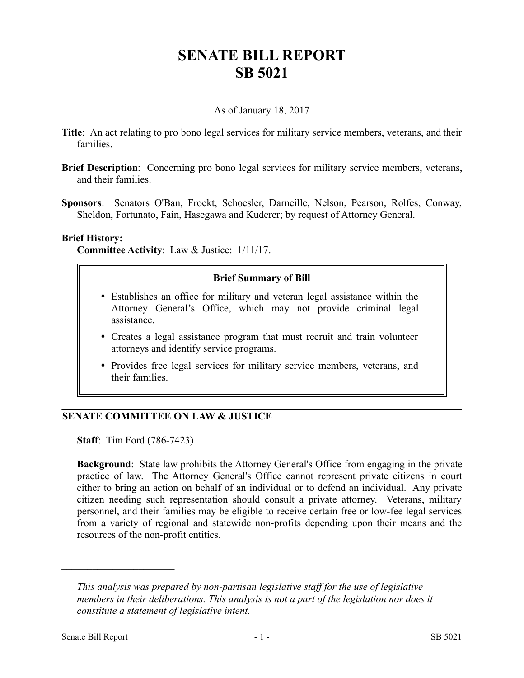# **SENATE BILL REPORT SB 5021**

## As of January 18, 2017

- **Title**: An act relating to pro bono legal services for military service members, veterans, and their families.
- **Brief Description**: Concerning pro bono legal services for military service members, veterans, and their families.
- **Sponsors**: Senators O'Ban, Frockt, Schoesler, Darneille, Nelson, Pearson, Rolfes, Conway, Sheldon, Fortunato, Fain, Hasegawa and Kuderer; by request of Attorney General.

#### **Brief History:**

**Committee Activity**: Law & Justice: 1/11/17.

## **Brief Summary of Bill**

- Establishes an office for military and veteran legal assistance within the Attorney General's Office, which may not provide criminal legal assistance.
- Creates a legal assistance program that must recruit and train volunteer attorneys and identify service programs.
- Provides free legal services for military service members, veterans, and their families.

## **SENATE COMMITTEE ON LAW & JUSTICE**

**Staff**: Tim Ford (786-7423)

**Background**: State law prohibits the Attorney General's Office from engaging in the private practice of law. The Attorney General's Office cannot represent private citizens in court either to bring an action on behalf of an individual or to defend an individual. Any private citizen needing such representation should consult a private attorney. Veterans, military personnel, and their families may be eligible to receive certain free or low-fee legal services from a variety of regional and statewide non-profits depending upon their means and the resources of the non-profit entities.

––––––––––––––––––––––

*This analysis was prepared by non-partisan legislative staff for the use of legislative members in their deliberations. This analysis is not a part of the legislation nor does it constitute a statement of legislative intent.*